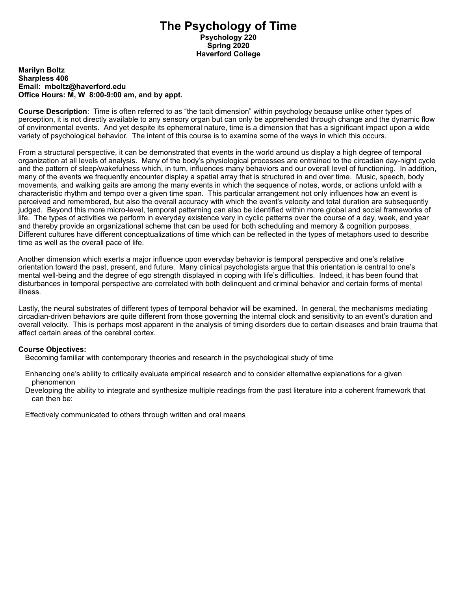# **The Psychology of Time Psychology 220 Spring 2020 Haverford College**

#### **Marilyn Boltz Sharpless 406 Email: mboltz@haverford.edu Office Hours: M, W 8:00-9:00 am, and by appt.**

**Course Description**: Time is often referred to as "the tacit dimension" within psychology because unlike other types of perception, it is not directly available to any sensory organ but can only be apprehended through change and the dynamic flow of environmental events. And yet despite its ephemeral nature, time is a dimension that has a significant impact upon a wide variety of psychological behavior. The intent of this course is to examine some of the ways in which this occurs.

From a structural perspective, it can be demonstrated that events in the world around us display a high degree of temporal organization at all levels of analysis. Many of the body's physiological processes are entrained to the circadian day-night cycle and the pattern of sleep/wakefulness which, in turn, influences many behaviors and our overall level of functioning. In addition, many of the events we frequently encounter display a spatial array that is structured in and over time. Music, speech, body movements, and walking gaits are among the many events in which the sequence of notes, words, or actions unfold with a characteristic rhythm and tempo over a given time span. This particular arrangement not only influences how an event is perceived and remembered, but also the overall accuracy with which the event's velocity and total duration are subsequently judged. Beyond this more micro-level, temporal patterning can also be identified within more global and social frameworks of life. The types of activities we perform in everyday existence vary in cyclic patterns over the course of a day, week, and year and thereby provide an organizational scheme that can be used for both scheduling and memory & cognition purposes. Different cultures have different conceptualizations of time which can be reflected in the types of metaphors used to describe time as well as the overall pace of life.

Another dimension which exerts a major influence upon everyday behavior is temporal perspective and one's relative orientation toward the past, present, and future. Many clinical psychologists argue that this orientation is central to one's mental well-being and the degree of ego strength displayed in coping with life's difficulties. Indeed, it has been found that disturbances in temporal perspective are correlated with both delinquent and criminal behavior and certain forms of mental illness.

Lastly, the neural substrates of different types of temporal behavior will be examined. In general, the mechanisms mediating circadian-driven behaviors are quite different from those governing the internal clock and sensitivity to an event's duration and overall velocity. This is perhaps most apparent in the analysis of timing disorders due to certain diseases and brain trauma that affect certain areas of the cerebral cortex.

# **Course Objectives:**

Becoming familiar with contemporary theories and research in the psychological study of time

- Enhancing one's ability to critically evaluate empirical research and to consider alternative explanations for a given phenomenon
- Developing the ability to integrate and synthesize multiple readings from the past literature into a coherent framework that can then be:

Effectively communicated to others through written and oral means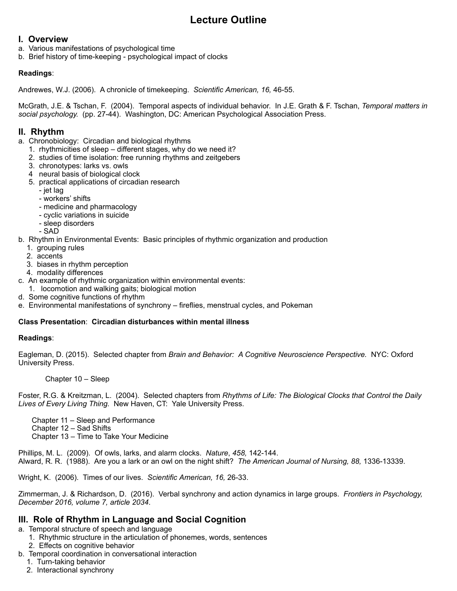# **Lecture Outline**

# **I. Overview**

- a. Various manifestations of psychological time
- b. Brief history of time-keeping psychological impact of clocks

# **Readings**:

Andrewes, W.J. (2006). A chronicle of timekeeping. *Scientific American, 16,* 46-55.

McGrath, J.E. & Tschan, F. (2004). Temporal aspects of individual behavior. In J.E. Grath & F. Tschan, *Temporal matters in social psychology.* (pp. 27-44). Washington, DC: American Psychological Association Press.

# **II. Rhythm**

- a. Chronobiology: Circadian and biological rhythms
	- 1. rhythmicities of sleep different stages, why do we need it?
	- 2. studies of time isolation: free running rhythms and zeitgebers
	- 3. chronotypes: larks vs. owls
	- 4 neural basis of biological clock
	- 5. practical applications of circadian research
		- jet lag
		- workers' shifts
		- medicine and pharmacology
		- cyclic variations in suicide
		- sleep disorders
		- SAD
- b. Rhythm in Environmental Events: Basic principles of rhythmic organization and production
	- 1. grouping rules
	- 2. accents
	- 3. biases in rhythm perception
	- 4. modality differences
- c. An example of rhythmic organization within environmental events:
- 1. locomotion and walking gaits; biological motion
- d. Some cognitive functions of rhythm
- e. Environmental manifestations of synchrony fireflies, menstrual cycles, and Pokeman

# **Class Presentation**: **Circadian disturbances within mental illness**

# **Readings**:

Eagleman, D. (2015). Selected chapter from *Brain and Behavior: A Cognitive Neuroscience Perspective.* NYC: Oxford University Press.

### Chapter 10 – Sleep

Foster, R.G. & Kreitzman, L. (2004). Selected chapters from *Rhythms of Life: The Biological Clocks that Control the Daily Lives of Every Living Thing.* New Haven, CT: Yale University Press.

Chapter 11 – Sleep and Performance

- Chapter 12 Sad Shifts
- Chapter 13 Time to Take Your Medicine

Phillips, M. L. (2009). Of owls, larks, and alarm clocks. *Nature*, *458,* 142-144. Alward, R. R. (1988). Are you a lark or an owl on the night shift? *The American Journal of Nursing, 88,* 1336-13339.

Wright, K. (2006). Times of our lives. *Scientific American, 16,* 26-33.

Zimmerman, J. & Richardson, D. (2016). Verbal synchrony and action dynamics in large groups. *Frontiers in Psychology, December 2016, volume 7, article 2034*.

# **III. Role of Rhythm in Language and Social Cognition**

- a. Temporal structure of speech and language
	- 1. Rhythmic structure in the articulation of phonemes, words, sentences
		- 2. Effects on cognitive behavior
- b. Temporal coordination in conversational interaction
	- 1. Turn-taking behavior
	- 2. Interactional synchrony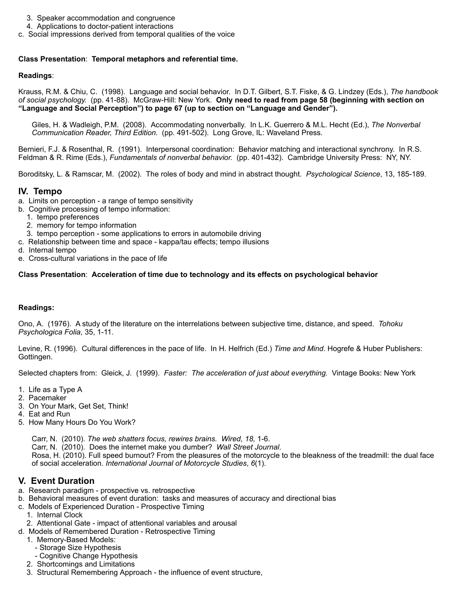- 3. Speaker accommodation and congruence
- 4. Applications to doctor-patient interactions
- c. Social impressions derived from temporal qualities of the voice

### **Class Presentation**: **Temporal metaphors and referential time.**

### **Readings**:

Krauss, R.M. & Chiu, C. (1998). Language and social behavior. In D.T. Gilbert, S.T. Fiske, & G. Lindzey (Eds.), *The handbook of social psychology.* (pp. 41-88). McGraw-Hill: New York. **Only need to read from page 58 (beginning with section on "Language and Social Perception") to page 67 (up to section on "Language and Gender").**

Giles, H. & Wadleigh, P.M. (2008). Accommodating nonverbally. In L.K. Guerrero & M.L. Hecht (Ed.), *The Nonverbal Communication Reader, Third Edition.* (pp. 491-502). Long Grove, IL: Waveland Press.

Bernieri, F.J. & Rosenthal, R. (1991). Interpersonal coordination: Behavior matching and interactional synchrony. In R.S. Feldman & R. Rime (Eds.), *Fundamentals of nonverbal behavior.* (pp. 401-432). Cambridge University Press: NY, NY.

Boroditsky, L. & Ramscar, M. (2002). The roles of body and mind in abstract thought. *Psychological Science*, 13, 185-189.

# **IV. Tempo**

- a. Limits on perception a range of tempo sensitivity
- b. Cognitive processing of tempo information:
	- 1. tempo preferences
	- 2. memory for tempo information
	- 3. tempo perception some applications to errors in automobile driving
- c. Relationship between time and space kappa/tau effects; tempo illusions
- d. Internal tempo
- e. Cross-cultural variations in the pace of life

### **Class Presentation**: **Acceleration of time due to technology and its effects on psychological behavior**

# **Readings:**

Ono, A. (1976). A study of the literature on the interrelations between subjective time, distance, and speed. *Tohoku Psychologica Folia*, 35, 1-11.

Levine, R. (1996). Cultural differences in the pace of life. In H. Helfrich (Ed.) *Time and Mind*. Hogrefe & Huber Publishers: Gottingen.

Selected chapters from: Gleick, J. (1999). *Faster: The acceleration of just about everything.* Vintage Books: New York

- 1. Life as a Type A
- 2. Pacemaker
- 3. On Your Mark, Get Set, Think!
- 4. Eat and Run
- 5. How Many Hours Do You Work?
	- Carr, N. (2010). *The web shatters focus, rewires brains. Wired, 18,* 1-6.

Carr, N. (2010). Does the internet make you dumber? *Wall Street Journal*.

Rosa, H. (2010). Full speed burnout? From the pleasures of the motorcycle to the bleakness of the treadmill: the dual face of social acceleration. *International Journal of Motorcycle Studies*, *6*(1).

# **V. Event Duration**

- a. Research paradigm prospective vs. retrospective
- b. Behavioral measures of event duration: tasks and measures of accuracy and directional bias
- c. Models of Experienced Duration Prospective Timing
	- 1. Internal Clock
	- 2. Attentional Gate impact of attentional variables and arousal
- d. Models of Remembered Duration Retrospective Timing
	- 1. Memory-Based Models:
		- Storage Size Hypothesis
		- Cognitive Change Hypothesis
	- 2. Shortcomings and Limitations
	- 3. Structural Remembering Approach the influence of event structure,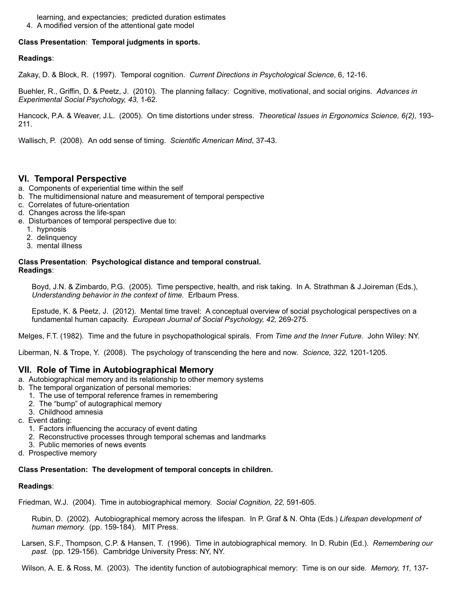learning, and expectancies; predicted duration estimates

4. A modified version of the attentional gate model

# **Class Presentation**: **Temporal judgments in sports.**

# **Readings**:

Zakay, D. & Block, R. (1997). Temporal cognition. *Current Directions in Psychological Science*, 6, 12-16.

Buehler, R., Griffin, D. & Peetz, J. (2010). The planning fallacy: Cognitive, motivational, and social origins. *Advances in Experimental Social Psychology, 43,* 1-62.

Hancock, P.A. & Weaver, J.L. (2005). On time distortions under stress. *Theoretical Issues in Ergonomics Science, 6(2),* 193- 211.

Wallisch, P. (2008). An odd sense of timing. *Scientific American Mind*, 37-43.

# **VI. Temporal Perspective**

- a. Components of experiential time within the self
- b. The multidimensional nature and measurement of temporal perspective
- c. Correlates of future-orientation
- d. Changes across the life-span
- e. Disturbances of temporal perspective due to:
	- 1. hypnosis
	- 2. delinquency
	- 3. mental illness

### **Class Presentation**: **Psychological distance and temporal construal. Readings**:

Boyd, J.N. & Zimbardo, P.G. (2005). Time perspective, health, and risk taking. In A. Strathman & J.Joireman (Eds.), *Understanding behavior in the context of time.* Erlbaum Press.

Epstude, K. & Peetz, J. (2012). Mental time travel: A conceptual overview of social psychological perspectives on a fundamental human capacity. *European Journal of Social Psychology, 42,* 269-275.

Melges, F.T. (1982). Time and the future in psychopathological spirals. From *Time and the Inner Future.* John Wiley: NY.

Liberman, N. & Trope, Y. (2008). The psychology of transcending the here and now. *Science, 322,* 1201-1205.

# **VII. Role of Time in Autobiographical Memory**

- a. Autobiographical memory and its relationship to other memory systems
- b. The temporal organization of personal memories:
	- 1. The use of temporal reference frames in remembering
	- 2. The "bump" of autographical memory
	- 3. Childhood amnesia
- c. Event dating:
	- 1. Factors influencing the accuracy of event dating
	- 2. Reconstructive processes through temporal schemas and landmarks
	- 3. Public memories of news events
- d. Prospective memory

# **Class Presentation: The development of temporal concepts in children.**

# **Readings**:

Friedman, W.J. (2004). Time in autobiographical memory. *Social Cognition, 22,* 591-605.

Rubin, D. (2002). Autobiographical memory across the lifespan. In P. Graf & N. Ohta (Eds.) *Lifespan development of human memory.* (pp. 159-184). MIT Press.

Larsen, S.F., Thompson, C.P. & Hansen, T. (1996). Time in autobiographical memory. In D. Rubin (Ed.). *Remembering our past.* (pp. 129-156). Cambridge University Press: NY, NY.

Wilson, A. E. & Ross, M. (2003). The identity function of autobiographical memory: Time is on our side. *Memory, 11,* 137-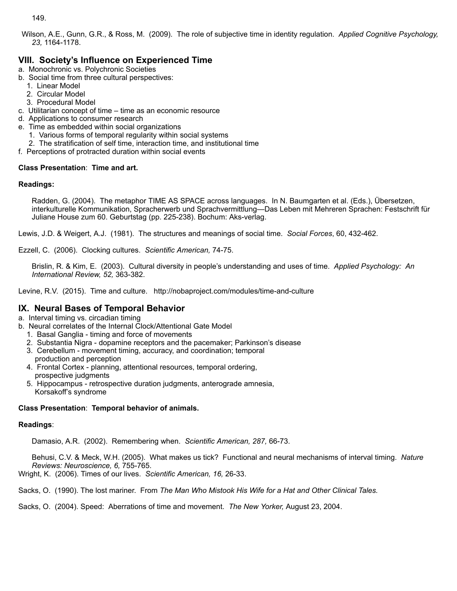149.

Wilson, A.E., Gunn, G.R., & Ross, M. (2009). The role of subjective time in identity regulation. *Applied Cognitive Psychology, 23,* 1164-1178.

# **VIII. Society's Influence on Experienced Time**

- a. Monochronic vs. Polychronic Societies
- b. Social time from three cultural perspectives:
	- 1. Linear Model
	- 2. Circular Model
	- 3. Procedural Model
- c. Utilitarian concept of time time as an economic resource
- d. Applications to consumer research
- e. Time as embedded within social organizations
	- 1. Various forms of temporal regularity within social systems
	- 2. The stratification of self time, interaction time, and institutional time
- f. Perceptions of protracted duration within social events

# **Class Presentation**: **Time and art.**

### **Readings:**

Radden, G. (2004). The metaphor TIME AS SPACE across languages. In N. Baumgarten et al. (Eds.), Übersetzen, interkulturelle Kommunikation, Spracherwerb und Sprachvermittlung—Das Leben mit Mehreren Sprachen: Festschrift für Juliane House zum 60. Geburtstag (pp. 225-238). Bochum: Aks-verlag.

Lewis, J.D. & Weigert, A.J. (1981). The structures and meanings of social time. *Social Forces*, 60, 432-462.

Ezzell, C. (2006). Clocking cultures. *Scientific American,* 74-75.

Brislin, R. & Kim, E. (2003). Cultural diversity in people's understanding and uses of time. *Applied Psychology: An International Review, 52,* 363-382.

Levine, R.V. (2015). Time and culture. http://nobaproject.com/modules/time-and-culture

# **IX. Neural Bases of Temporal Behavior**

a. Interval timing vs. circadian timing

- b. Neural correlates of the Internal Clock/Attentional Gate Model
	- 1. Basal Ganglia timing and force of movements
	- 2. Substantia Nigra dopamine receptors and the pacemaker; Parkinson's disease
	- 3. Cerebellum movement timing, accuracy, and coordination; temporal production and perception
	- 4. Frontal Cortex planning, attentional resources, temporal ordering, prospective judgments
	- 5. Hippocampus retrospective duration judgments, anterograde amnesia, Korsakoff's syndrome

# **Class Presentation**: **Temporal behavior of animals.**

### **Readings**:

Damasio, A.R. (2002). Remembering when. *Scientific American, 287,* 66-73.

Behusi, C.V. & Meck, W.H. (2005). What makes us tick? Functional and neural mechanisms of interval timing. *Nature Reviews: Neuroscience, 6,* 755-765.

Wright, K. (2006). Times of our lives. *Scientific American, 16,* 26-33.

Sacks, O. (1990). The lost mariner. From *The Man Who Mistook His Wife for a Hat and Other Clinical Tales.*

Sacks, O. (2004). Speed: Aberrations of time and movement. *The New Yorker,* August 23, 2004.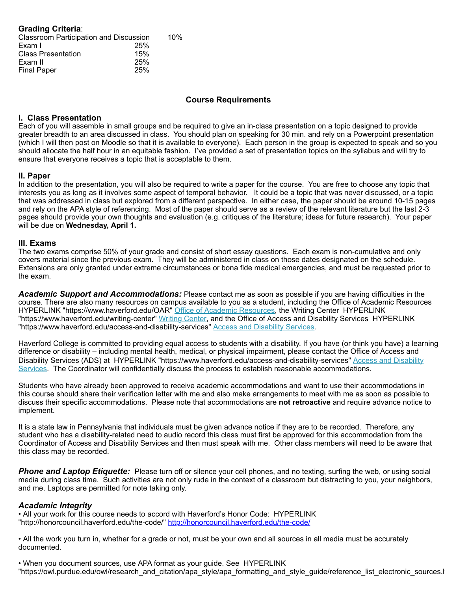| <b>Grading Criteria:</b>               |     |     |
|----------------------------------------|-----|-----|
| Classroom Participation and Discussion |     | 10% |
| Exam I                                 | 25% |     |
| <b>Class Presentation</b>              | 15% |     |
| Exam II                                | 25% |     |
| <b>Final Paper</b>                     | 25% |     |

# **Course Requirements**

### **I. Class Presentation**

Each of you will assemble in small groups and be required to give an in-class presentation on a topic designed to provide greater breadth to an area discussed in class. You should plan on speaking for 30 min. and rely on a Powerpoint presentation (which I will then post on Moodle so that it is available to everyone). Each person in the group is expected to speak and so you should allocate the half hour in an equitable fashion. I've provided a set of presentation topics on the syllabus and will try to ensure that everyone receives a topic that is acceptable to them.

### **II. Paper**

In addition to the presentation, you will also be required to write a paper for the course. You are free to choose any topic that interests you as long as it involves some aspect of temporal behavior. It could be a topic that was never discussed, or a topic that was addressed in class but explored from a different perspective. In either case, the paper should be around 10-15 pages and rely on the APA style of referencing. Most of the paper should serve as a review of the relevant literature but the last 2-3 pages should provide your own thoughts and evaluation (e.g. critiques of the literature; ideas for future research). Your paper will be due on **Wednesday, April 1.**

### **III. Exams**

The two exams comprise 50% of your grade and consist of short essay questions. Each exam is non-cumulative and only covers material since the previous exam. They will be administered in class on those dates designated on the schedule. Extensions are only granted under extreme circumstances or bona fide medical emergencies, and must be requested prior to the exam.

*Academic Support and Accommodations:* Please contact me as soon as possible if you are having difficulties in the course. There are also many resources on campus available to you as a student, including the Office of Academic Resources HYPERLINK "https://www.haverford.edu/OAR" Office of Academic Resources, the Writing Center HYPERLINK "https://www.haverford.edu/writing-center" Writing Center, and the Office of Access and Disability Services HYPERLINK "https://www.haverford.edu/access-and-disability-services" Access and Disability Services.

Haverford College is committed to providing equal access to students with a disability. If you have (or think you have) a learning difference or disability – including mental health, medical, or physical impairment, please contact the Office of Access and Disability Services (ADS) at HYPERLINK "https://www.haverford.edu/access-and-disability-services" Access and Disability Services. The Coordinator will confidentially discuss the process to establish reasonable accommodations.

Students who have already been approved to receive academic accommodations and want to use their accommodations in this course should share their verification letter with me and also make arrangements to meet with me as soon as possible to discuss their specific accommodations. Please note that accommodations are **not retroactive** and require advance notice to implement.

It is a state law in Pennsylvania that individuals must be given advance notice if they are to be recorded. Therefore, any student who has a disability-related need to audio record this class must first be approved for this accommodation from the Coordinator of Access and Disability Services and then must speak with me. Other class members will need to be aware that this class may be recorded.

**Phone and Laptop Etiquette:** Please turn off or silence your cell phones, and no texting, surfing the web, or using social media during class time. Such activities are not only rude in the context of a classroom but distracting to you, your neighbors, and me. Laptops are permitted for note taking only.

#### *Academic Integrity*

• All your work for this course needs to accord with Haverford's Honor Code: HYPERLINK "http://honorcouncil.haverford.edu/the-code/" http://honorcouncil.haverford.edu/the-code/

• All the work you turn in, whether for a grade or not, must be your own and all sources in all media must be accurately documented.

• When you document sources, use APA format as your guide. See HYPERLINK "https://owl.purdue.edu/owl/research\_and\_citation/apa\_style/apa\_formatting\_and\_style\_guide/reference\_list\_electronic\_sources.html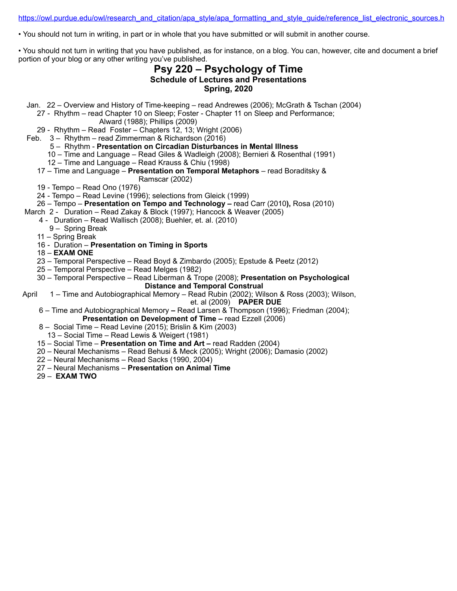https://owl.purdue.edu/owl/research\_and\_citation/apa\_style/apa\_formatting\_and\_style\_guide/reference\_list\_electronic\_sources.html

• You should not turn in writing, in part or in whole that you have submitted or will submit in another course.

• You should not turn in writing that you have published, as for instance, on a blog. You can, however, cite and document a brief portion of your blog or any other writing you've published.

# **Psy 220 – Psychology of Time Schedule of Lectures and Presentations Spring, 2020**

Jan. 22 – Overview and History of Time-keeping – read Andrewes (2006); McGrath & Tschan (2004)

27 - Rhythm – read Chapter 10 on Sleep; Foster - Chapter 11 on Sleep and Performance;

Alward (1988); Phillips (2009)

29 - Rhythm – Read Foster – Chapters 12, 13; Wright (2006)

Feb. 3 – Rhythm – read Zimmerman & Richardson (2016)

### 5 – Rhythm - **Presentation on Circadian Disturbances in Mental Illness**

- 10 Time and Language Read Giles & Wadleigh (2008); Bernieri & Rosenthal (1991)
- 12 Time and Language Read Krauss & Chiu (1998)

### 17 – Time and Language – **Presentation on Temporal Metaphors** – read Boraditsky &

- Ramscar (2002)
- 19 Tempo Read Ono (1976)
- 24 Tempo Read Levine (1996); selections from Gleick (1999)
- 26 Tempo **Presentation on Tempo and Technology** read Carr (2010**),** Rosa (2010)
- March 2 Duration Read Zakay & Block (1997); Hancock & Weaver (2005)
	- 4 Duration Read Wallisch (2008); Buehler, et. al. (2010)
		- 9 Spring Break
	- 11 Spring Break
	- 16 Duration **Presentation on Timing in Sports**
	- 18 **EXAM ONE**
	- 23 Temporal Perspective Read Boyd & Zimbardo (2005); Epstude & Peetz (2012)
	- 25 Temporal Perspective Read Melges (1982)
	- 30 Temporal Perspective Read Liberman & Trope (2008); **Presentation on Psychological Distance and Temporal Construal**
- April 1 Time and Autobiographical Memory Read Rubin (2002); Wilson & Ross (2003); Wilson, et. al (2009) **PAPER DUE** 
	- 6 Time and Autobiographical Memory Read Larsen & Thompson (1996); Friedman (2004); **Presentation on Development of Time –** read Ezzell (2006)
	- 8 Social Time Read Levine (2015); Brislin & Kim (2003)
	- 13 Social Time Read Lewis & Weigert (1981)
	- 15 Social Time **Presentation on Time and Art** read Radden (2004)
	- 20 Neural Mechanisms Read Behusi & Meck (2005); Wright (2006); Damasio (2002)
	- 22 Neural Mechanisms Read Sacks (1990, 2004)
	- 27 Neural Mechanisms **Presentation on Animal Time**
	- 29 **EXAM TWO**